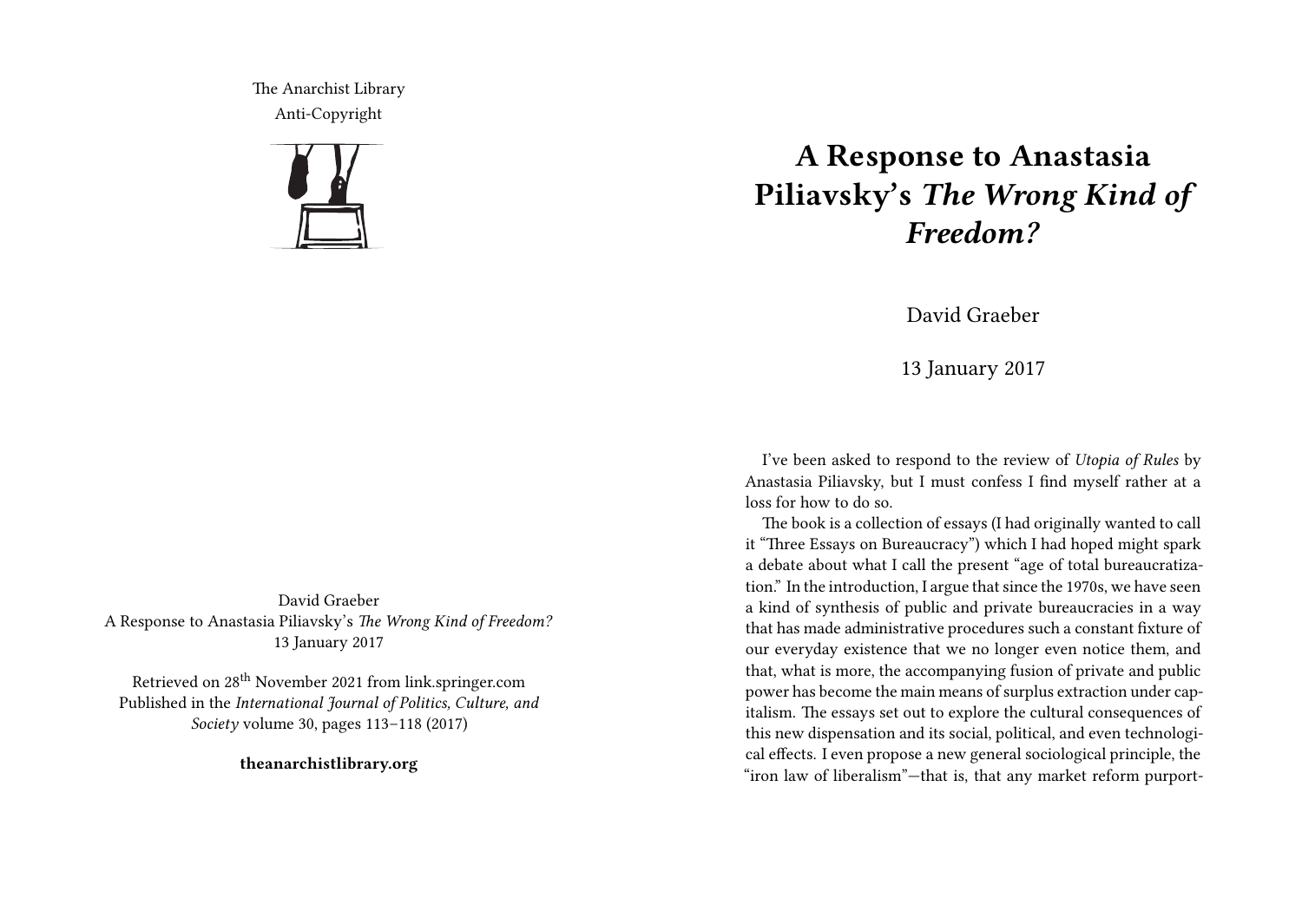The Anarchist Library Anti-Copyright



**A Response to Anastasia Piliavsky's** *The Wrong Kind of Freedom?*

David Graeber

13 January 2017

I've been asked to respond to the review of *Utopia of Rules* by Anastasia Piliavsky, but I must confess I find myself rather at a loss for how to do so.

The book is a collection of essays (I had originally wanted to call it "Three Essays on Bureaucracy") which I had hoped might spark a debate about what I call the present "age of total bureaucratization." In the introduction, I argue that since the 1970s, we have seen a kind of synthesis of public and private bureaucracies in a way that has made administrative procedures such a constant fixture of our everyday existence that we no longer even notice them, and that, what is more, the accompanying fusion of private and public power has become the main means of surplus extraction under capitalism. The essays set out to explore the cultural consequences of this new dispensation and its social, political, and even technological effects. I even propose a new general sociological principle, the "iron law of liberalism"—that is, that any market reform purport-

David Graeber A Response to Anastasia Piliavsky's *The Wrong Kind of Freedom?* 13 January 2017

Retrieved on 28th November 2021 from link.springer.com Published in the *International Journal of Politics, Culture, and Society* volume 30, pages 113–118 (2017)

**theanarchistlibrary.org**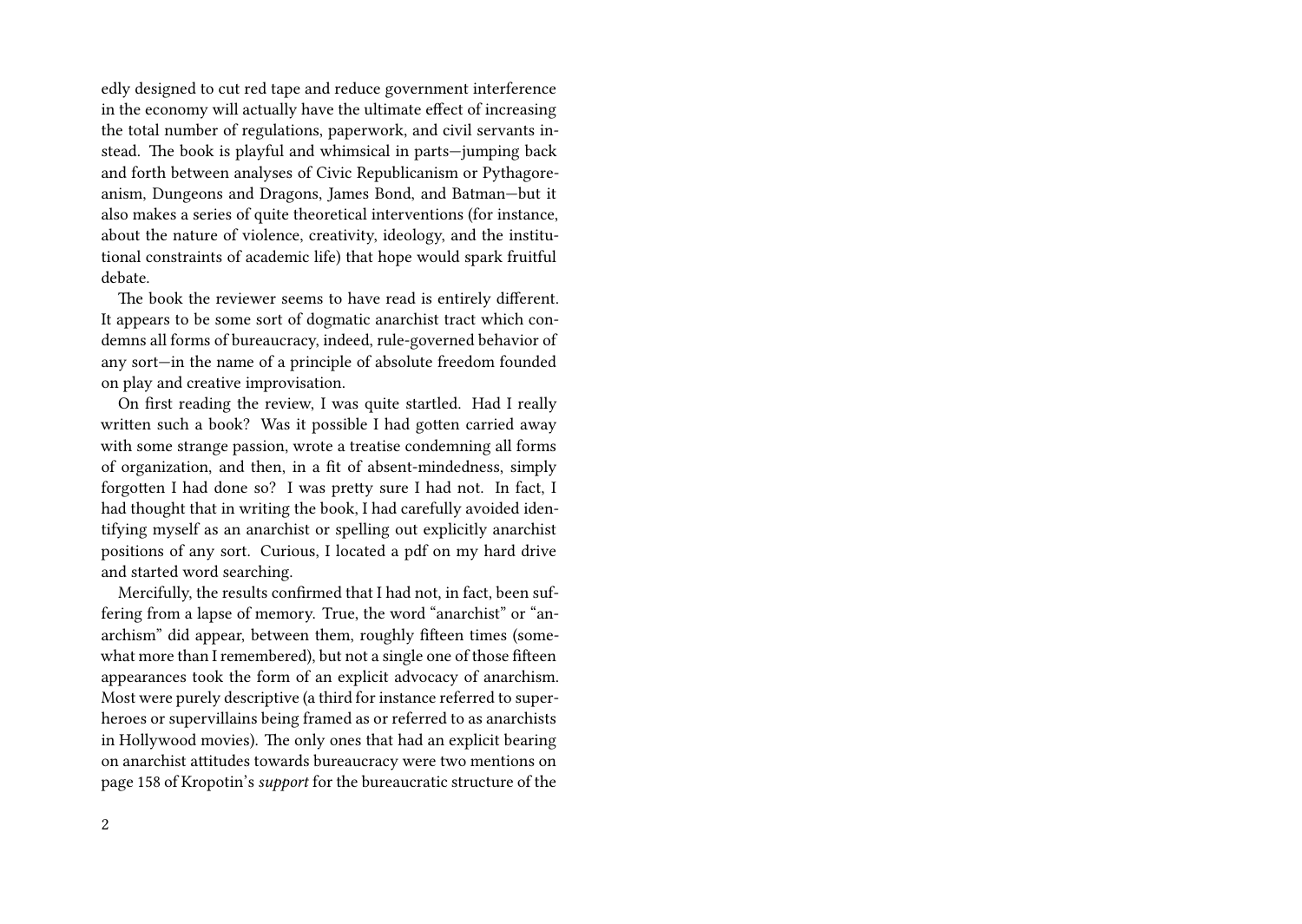edly designed to cut red tape and reduce government interference in the economy will actually have the ultimate effect of increasing the total number of regulations, paperwork, and civil servants instead. The book is playful and whimsical in parts—jumping back and forth between analyses of Civic Republicanism or Pythagoreanism, Dungeons and Dragons, James Bond, and Batman—but it also makes a series of quite theoretical interventions (for instance, about the nature of violence, creativity, ideology, and the institutional constraints of academic life) that hope would spark fruitful debate.

The book the reviewer seems to have read is entirely different. It appears to be some sort of dogmatic anarchist tract which condemns all forms of bureaucracy, indeed, rule-governed behavior of any sort—in the name of a principle of absolute freedom founded on play and creative improvisation.

On first reading the review, I was quite startled. Had I really written such a book? Was it possible I had gotten carried away with some strange passion, wrote a treatise condemning all forms of organization, and then, in a fit of absent-mindedness, simply forgotten I had done so? I was pretty sure I had not. In fact, I had thought that in writing the book, I had carefully avoided identifying myself as an anarchist or spelling out explicitly anarchist positions of any sort. Curious, I located a pdf on my hard drive and started word searching.

Mercifully, the results confirmed that I had not, in fact, been suffering from a lapse of memory. True, the word "anarchist" or "anarchism" did appear, between them, roughly fifteen times (somewhat more than I remembered), but not a single one of those fifteen appearances took the form of an explicit advocacy of anarchism. Most were purely descriptive (a third for instance referred to superheroes or supervillains being framed as or referred to as anarchists in Hollywood movies). The only ones that had an explicit bearing on anarchist attitudes towards bureaucracy were two mentions on page 158 of Kropotin's *support* for the bureaucratic structure of the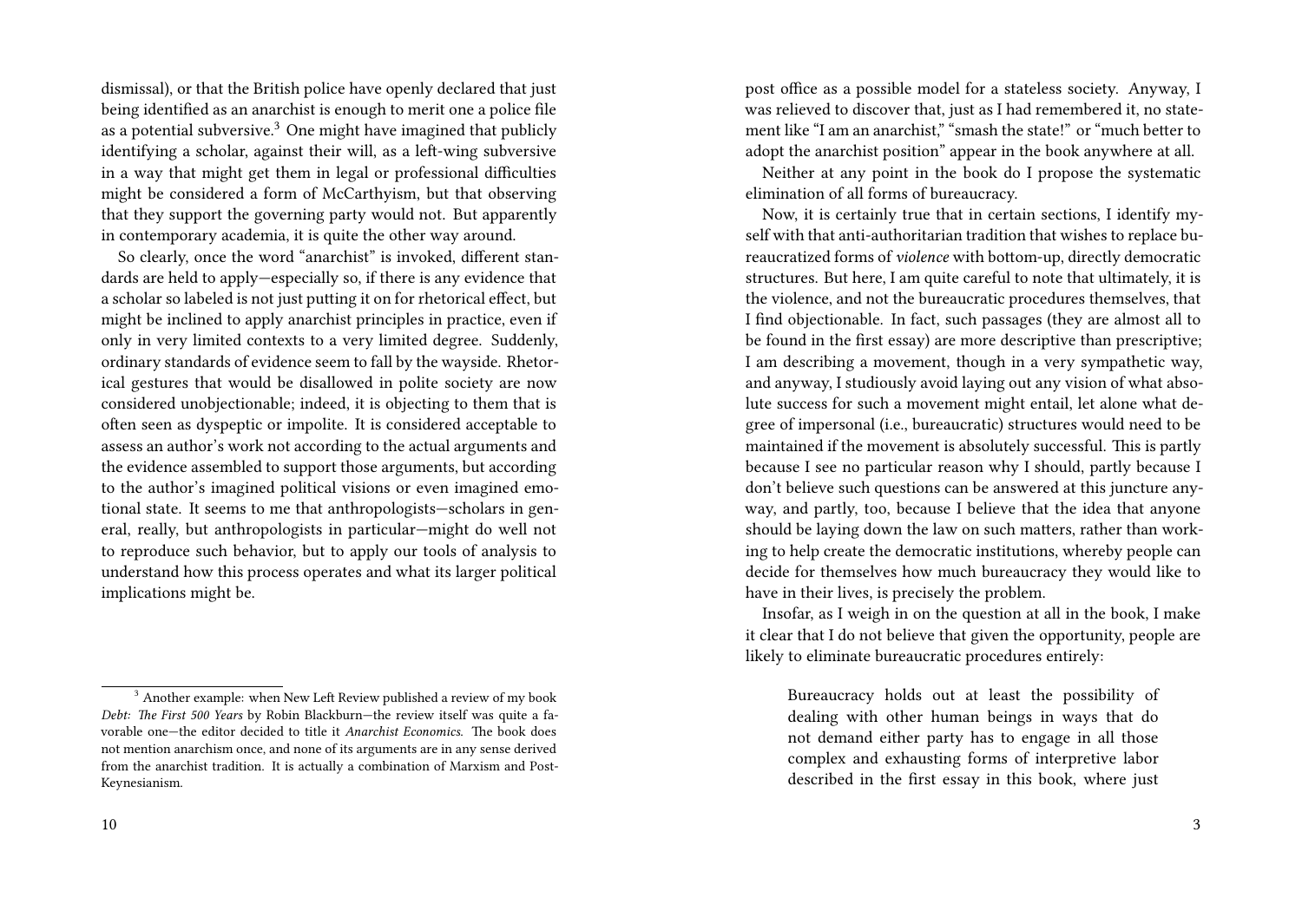dismissal), or that the British police have openly declared that just being identified as an anarchist is enough to merit one a police file as a potential subversive. $3$  One might have imagined that publicly identifying a scholar, against their will, as a left-wing subversive in a way that might get them in legal or professional difficulties might be considered a form of McCarthyism, but that observing that they support the governing party would not. But apparently in contemporary academia, it is quite the other way around.

So clearly, once the word "anarchist" is invoked, different standards are held to apply—especially so, if there is any evidence that a scholar so labeled is not just putting it on for rhetorical effect, but might be inclined to apply anarchist principles in practice, even if only in very limited contexts to a very limited degree. Suddenly, ordinary standards of evidence seem to fall by the wayside. Rhetorical gestures that would be disallowed in polite society are now considered unobjectionable; indeed, it is objecting to them that is often seen as dyspeptic or impolite. It is considered acceptable to assess an author's work not according to the actual arguments and the evidence assembled to support those arguments, but according to the author's imagined political visions or even imagined emotional state. It seems to me that anthropologists—scholars in general, really, but anthropologists in particular—might do well not to reproduce such behavior, but to apply our tools of analysis to understand how this process operates and what its larger political implications might be.

post office as a possible model for a stateless society. Anyway, I was relieved to discover that, just as I had remembered it, no statement like "I am an anarchist," "smash the state!" or "much better to adopt the anarchist position" appear in the book anywhere at all.

Neither at any point in the book do I propose the systematic elimination of all forms of bureaucracy.

Now, it is certainly true that in certain sections, I identify myself with that anti-authoritarian tradition that wishes to replace bureaucratized forms of *violence* with bottom-up, directly democratic structures. But here, I am quite careful to note that ultimately, it is the violence, and not the bureaucratic procedures themselves, that I find objectionable. In fact, such passages (they are almost all to be found in the first essay) are more descriptive than prescriptive; I am describing a movement, though in a very sympathetic way, and anyway, I studiously avoid laying out any vision of what absolute success for such a movement might entail, let alone what degree of impersonal (i.e., bureaucratic) structures would need to be maintained if the movement is absolutely successful. This is partly because I see no particular reason why I should, partly because I don't believe such questions can be answered at this juncture anyway, and partly, too, because I believe that the idea that anyone should be laying down the law on such matters, rather than working to help create the democratic institutions, whereby people can decide for themselves how much bureaucracy they would like to have in their lives, is precisely the problem.

Insofar, as I weigh in on the question at all in the book, I make it clear that I do not believe that given the opportunity, people are likely to eliminate bureaucratic procedures entirely:

<sup>&</sup>lt;sup>3</sup> Another example: when New Left Review published a review of my book *Debt: The First 500 Years* by Robin Blackburn—the review itself was quite a favorable one—the editor decided to title it *Anarchist Economics*. The book does not mention anarchism once, and none of its arguments are in any sense derived from the anarchist tradition. It is actually a combination of Marxism and Post-Keynesianism.

Bureaucracy holds out at least the possibility of dealing with other human beings in ways that do not demand either party has to engage in all those complex and exhausting forms of interpretive labor described in the first essay in this book, where just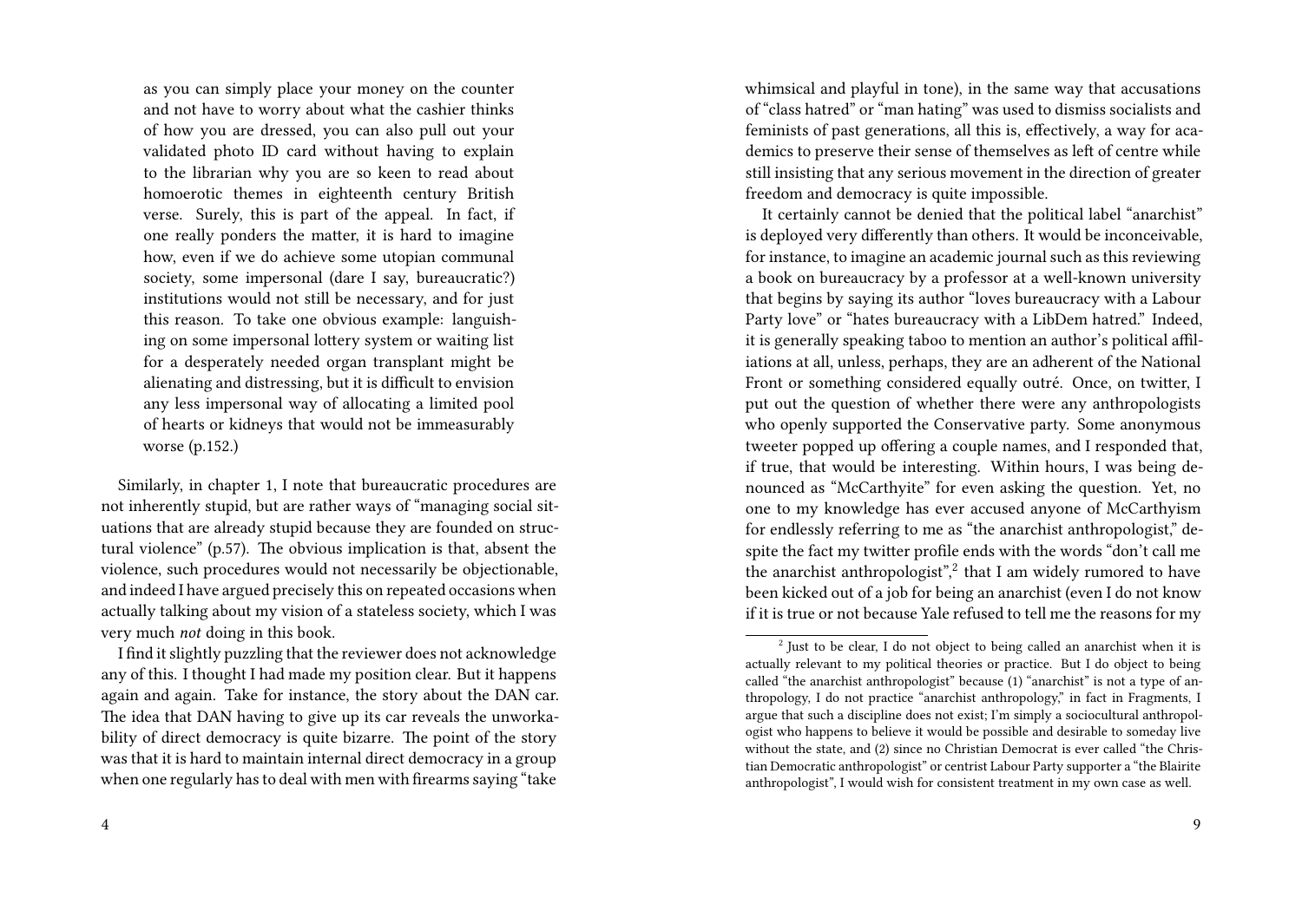as you can simply place your money on the counter and not have to worry about what the cashier thinks of how you are dressed, you can also pull out your validated photo ID card without having to explain to the librarian why you are so keen to read about homoerotic themes in eighteenth century British verse. Surely, this is part of the appeal. In fact, if one really ponders the matter, it is hard to imagine how, even if we do achieve some utopian communal society, some impersonal (dare I say, bureaucratic?) institutions would not still be necessary, and for just this reason. To take one obvious example: languishing on some impersonal lottery system or waiting list for a desperately needed organ transplant might be alienating and distressing, but it is difficult to envision any less impersonal way of allocating a limited pool of hearts or kidneys that would not be immeasurably worse (p.152.)

Similarly, in chapter 1, I note that bureaucratic procedures are not inherently stupid, but are rather ways of "managing social situations that are already stupid because they are founded on structural violence" (p.57). The obvious implication is that, absent the violence, such procedures would not necessarily be objectionable, and indeed I have argued precisely this on repeated occasions when actually talking about my vision of a stateless society, which I was very much *not* doing in this book.

I find it slightly puzzling that the reviewer does not acknowledge any of this. I thought I had made my position clear. But it happens again and again. Take for instance, the story about the DAN car. The idea that DAN having to give up its car reveals the unworkability of direct democracy is quite bizarre. The point of the story was that it is hard to maintain internal direct democracy in a group when one regularly has to deal with men with firearms saying "take whimsical and playful in tone), in the same way that accusations of "class hatred" or "man hating" was used to dismiss socialists and feminists of past generations, all this is, effectively, a way for academics to preserve their sense of themselves as left of centre while still insisting that any serious movement in the direction of greater freedom and democracy is quite impossible.

It certainly cannot be denied that the political label "anarchist" is deployed very differently than others. It would be inconceivable, for instance, to imagine an academic journal such as this reviewing a book on bureaucracy by a professor at a well-known university that begins by saying its author "loves bureaucracy with a Labour Party love" or "hates bureaucracy with a LibDem hatred." Indeed, it is generally speaking taboo to mention an author's political affiliations at all, unless, perhaps, they are an adherent of the National Front or something considered equally outré. Once, on twitter, I put out the question of whether there were any anthropologists who openly supported the Conservative party. Some anonymous tweeter popped up offering a couple names, and I responded that, if true, that would be interesting. Within hours, I was being denounced as "McCarthyite" for even asking the question. Yet, no one to my knowledge has ever accused anyone of McCarthyism for endlessly referring to me as "the anarchist anthropologist," despite the fact my twitter profile ends with the words "don't call me the anarchist anthropologist", $2$  that I am widely rumored to have been kicked out of a job for being an anarchist (even I do not know if it is true or not because Yale refused to tell me the reasons for my

 $2$  Just to be clear, I do not object to being called an anarchist when it is actually relevant to my political theories or practice. But I do object to being called "the anarchist anthropologist" because (1) "anarchist" is not a type of anthropology, I do not practice "anarchist anthropology," in fact in Fragments, I argue that such a discipline does not exist; I'm simply a sociocultural anthropologist who happens to believe it would be possible and desirable to someday live without the state, and (2) since no Christian Democrat is ever called "the Christian Democratic anthropologist" or centrist Labour Party supporter a "the Blairite anthropologist", I would wish for consistent treatment in my own case as well.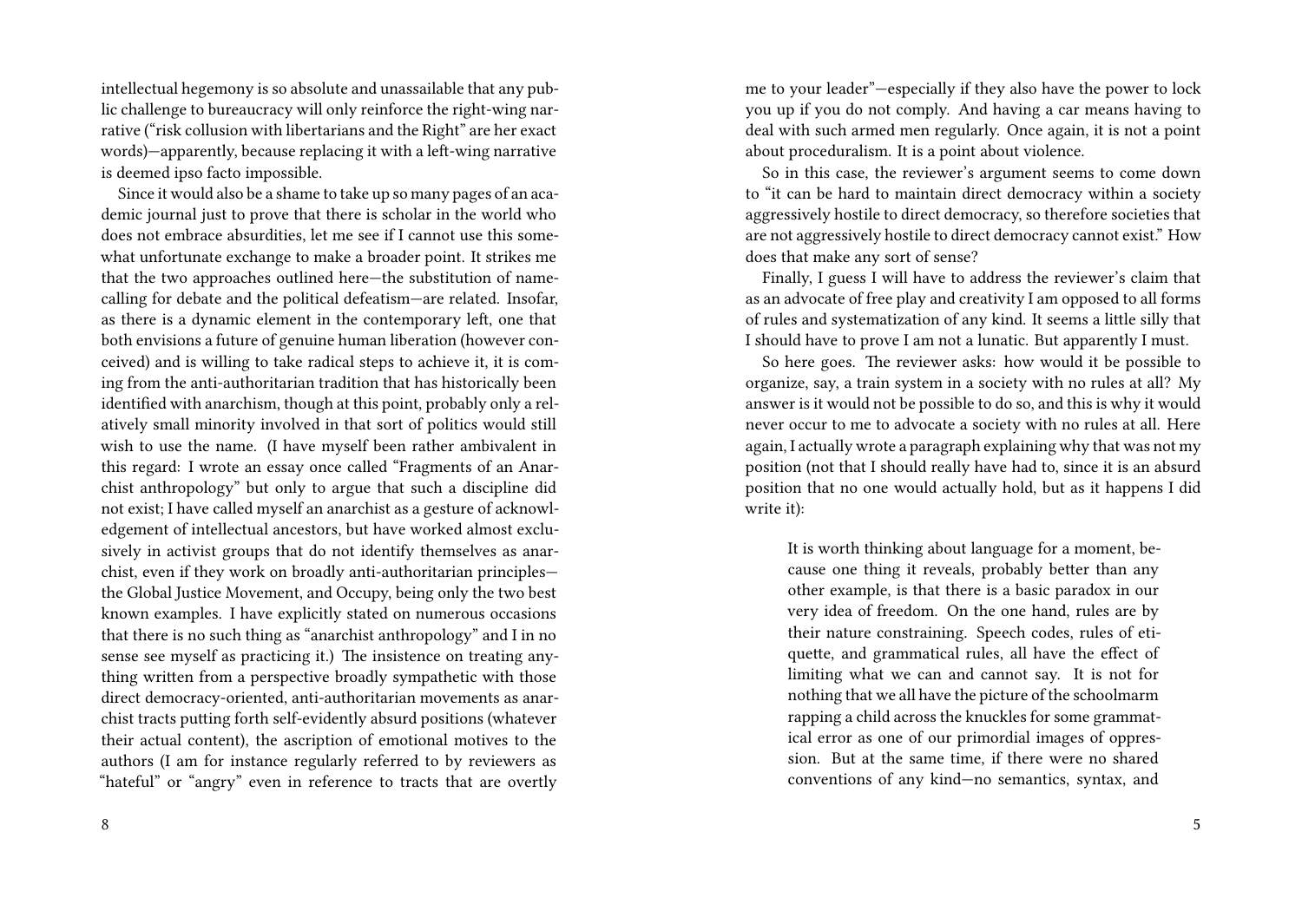intellectual hegemony is so absolute and unassailable that any public challenge to bureaucracy will only reinforce the right-wing narrative ("risk collusion with libertarians and the Right" are her exact words)—apparently, because replacing it with a left-wing narrative is deemed ipso facto impossible.

Since it would also be a shame to take up so many pages of an academic journal just to prove that there is scholar in the world who does not embrace absurdities, let me see if I cannot use this somewhat unfortunate exchange to make a broader point. It strikes me that the two approaches outlined here—the substitution of namecalling for debate and the political defeatism—are related. Insofar, as there is a dynamic element in the contemporary left, one that both envisions a future of genuine human liberation (however conceived) and is willing to take radical steps to achieve it, it is coming from the anti-authoritarian tradition that has historically been identified with anarchism, though at this point, probably only a relatively small minority involved in that sort of politics would still wish to use the name. (I have myself been rather ambivalent in this regard: I wrote an essay once called "Fragments of an Anarchist anthropology" but only to argue that such a discipline did not exist; I have called myself an anarchist as a gesture of acknowledgement of intellectual ancestors, but have worked almost exclusively in activist groups that do not identify themselves as anarchist, even if they work on broadly anti-authoritarian principles the Global Justice Movement, and Occupy, being only the two best known examples. I have explicitly stated on numerous occasions that there is no such thing as "anarchist anthropology" and I in no sense see myself as practicing it.) The insistence on treating anything written from a perspective broadly sympathetic with those direct democracy-oriented, anti-authoritarian movements as anarchist tracts putting forth self-evidently absurd positions (whatever their actual content), the ascription of emotional motives to the authors (I am for instance regularly referred to by reviewers as "hateful" or "angry" even in reference to tracts that are overtly

8

me to your leader"—especially if they also have the power to lock you up if you do not comply. And having a car means having to deal with such armed men regularly. Once again, it is not a point about proceduralism. It is a point about violence.

So in this case, the reviewer's argument seems to come down to "it can be hard to maintain direct democracy within a society aggressively hostile to direct democracy, so therefore societies that are not aggressively hostile to direct democracy cannot exist." How does that make any sort of sense?

Finally, I guess I will have to address the reviewer's claim that as an advocate of free play and creativity I am opposed to all forms of rules and systematization of any kind. It seems a little silly that I should have to prove I am not a lunatic. But apparently I must.

So here goes. The reviewer asks: how would it be possible to organize, say, a train system in a society with no rules at all? My answer is it would not be possible to do so, and this is why it would never occur to me to advocate a society with no rules at all. Here again, I actually wrote a paragraph explaining why that was not my position (not that I should really have had to, since it is an absurd position that no one would actually hold, but as it happens I did write it):

It is worth thinking about language for a moment, because one thing it reveals, probably better than any other example, is that there is a basic paradox in our very idea of freedom. On the one hand, rules are by their nature constraining. Speech codes, rules of etiquette, and grammatical rules, all have the effect of limiting what we can and cannot say. It is not for nothing that we all have the picture of the schoolmarm rapping a child across the knuckles for some grammatical error as one of our primordial images of oppression. But at the same time, if there were no shared conventions of any kind—no semantics, syntax, and